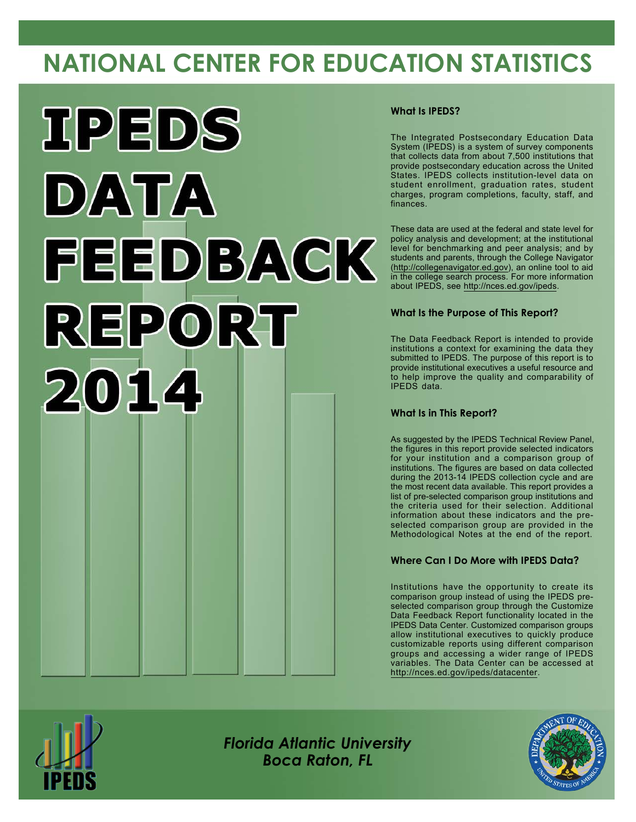# **NATIONAL CENTER FOR EDUCATION STATISTICS**



### **What Is IPEDS?**

The Integrated Postsecondary Education Data System (IPEDS) is a system of survey components that collects data from about 7,500 institutions that provide postsecondary education across the United States. IPEDS collects institution-level data on student enrollment, graduation rates, student charges, program completions, faculty, staff, and finances.

These data are used at the federal and state level for policy analysis and development; at the institutional level for benchmarking and peer analysis; and by students and parents, through the College Navigator [\(http://collegenavigator.ed.gov](http://collegenavigator.ed.gov)), an online tool to aid in the college search process. For more information about IPEDS, see <http://nces.ed.gov/ipeds>.

## **What Is the Purpose of This Report?**

The Data Feedback Report is intended to provide institutions a context for examining the data they submitted to IPEDS. The purpose of this report is to provide institutional executives a useful resource and to help improve the quality and comparability of IPEDS data.

### **What Is in This Report?**

As suggested by the IPEDS Technical Review Panel, the figures in this report provide selected indicators for your institution and a comparison group of institutions. The figures are based on data collected during the 2013-14 IPEDS collection cycle and are the most recent data available. This report provides a list of pre-selected comparison group institutions and the criteria used for their selection. Additional information about these indicators and the preselected comparison group are provided in the Methodological Notes at the end of the report.

## **Where Can I Do More with IPEDS Data?**

Institutions have the opportunity to create its comparison group instead of using the IPEDS preselected comparison group through the Customize Data Feedback Report functionality located in the IPEDS Data Center. Customized comparison groups allow institutional executives to quickly produce customizable reports using different comparison groups and accessing a wider range of IPEDS variables. The Data Center can be accessed at <http://nces.ed.gov/ipeds/datacenter>.



*Florida Atlantic University Boca Raton, FL*

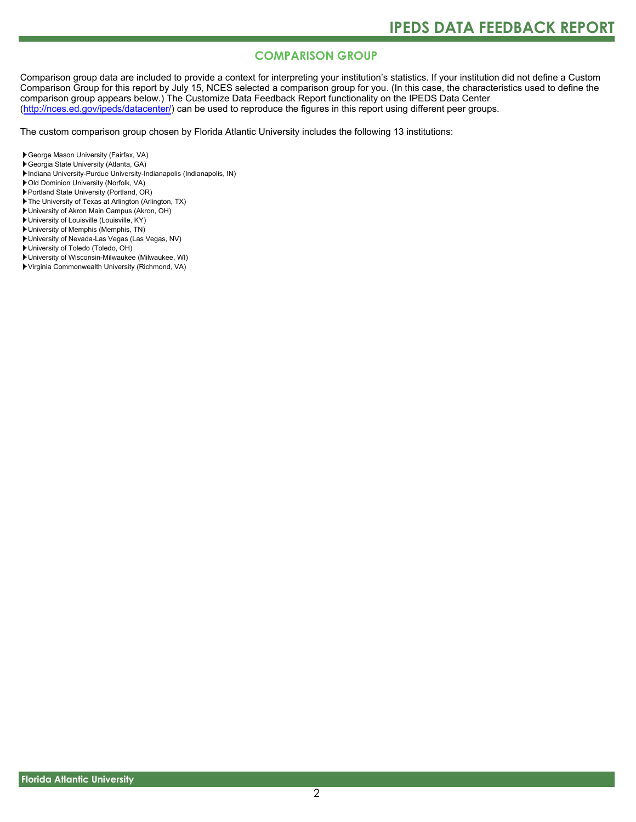# **COMPARISON GROUP**

Comparison group data are included to provide a context for interpreting your institution's statistics. If your institution did not define a Custom Comparison Group for this report by July 15, NCES selected a comparison group for you. (In this case, the characteristics used to define the comparison group appears below.) The Customize Data Feedback Report functionality on the IPEDS Data Center [\(http://nces.ed.gov/ipeds/datacenter/\)](http://nces.ed.gov/ipeds/datacenter/) can be used to reproduce the figures in this report using different peer groups.

The custom comparison group chosen by Florida Atlantic University includes the following 13 institutions:

- George Mason University (Fairfax, VA)
- Georgia State University (Atlanta, GA)
- Indiana University-Purdue University-Indianapolis (Indianapolis, IN)
- Old Dominion University (Norfolk, VA)
- Portland State University (Portland, OR)
- The University of Texas at Arlington (Arlington, TX)
- University of Akron Main Campus (Akron, OH)
- University of Louisville (Louisville, KY)
- University of Memphis (Memphis, TN)
- University of Nevada-Las Vegas (Las Vegas, NV)
- University of Toledo (Toledo, OH)
- University of Wisconsin-Milwaukee (Milwaukee, WI)
- Virginia Commonwealth University (Richmond, VA)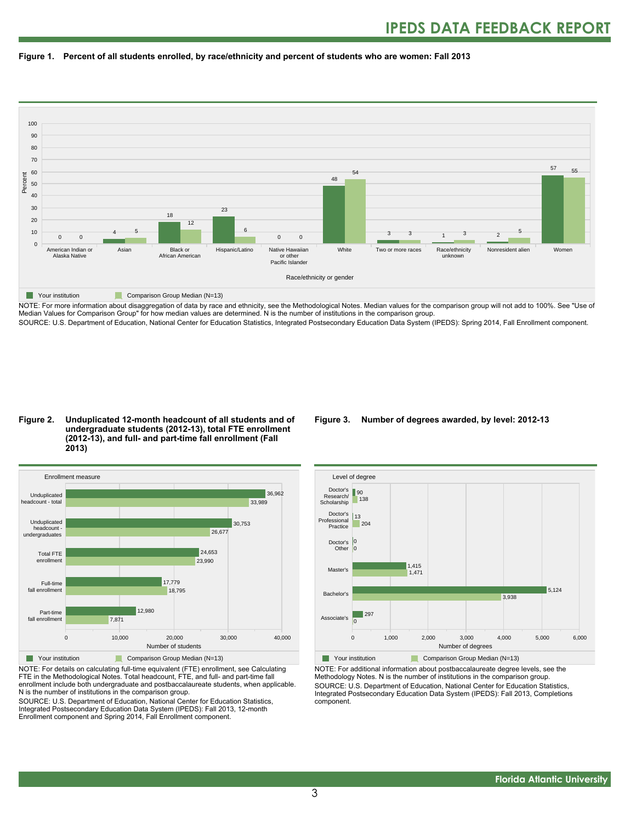



NOTE: For more information about disaggregation of data by race and ethnicity, see the Methodological Notes. Median values for the comparison group will not add to 100%. See "Use of Median Values for Comparison Group" for how median values are determined. N is the number of institutions in the comparison group. SOURCE: U.S. Department of Education, National Center for Education Statistics, Integrated Postsecondary Education Data System (IPEDS): Spring 2014, Fall Enrollment component.

#### **Figure 2. Unduplicated 12-month headcount of all students and of undergraduate students (2012-13), total FTE enrollment (2012-13), and full- and part-time fall enrollment (Fall 2013)**



NOTE: For details on calculating full-time equivalent (FTE) enrollment, see Calculating FTE in the Methodological Notes. Total headcount, FTE, and full- and part-time fall enrollment include both undergraduate and postbaccalaureate students, when applicable. N is the number of institutions in the comparison group.

SOURCE: U.S. Department of Education, National Center for Education Statistics, Integrated Postsecondary Education Data System (IPEDS): Fall 2013, 12-month Enrollment component and Spring 2014, Fall Enrollment component.

#### **Figure 3. Number of degrees awarded, by level: 2012-13**



NOTE: For additional information about postbaccalaureate degree levels, see the Methodology Notes. N is the number of institutions in the comparison group. SOURCE: U.S. Department of Education, National Center for Education Statistics, Integrated Postsecondary Education Data System (IPEDS): Fall 2013, Completions component.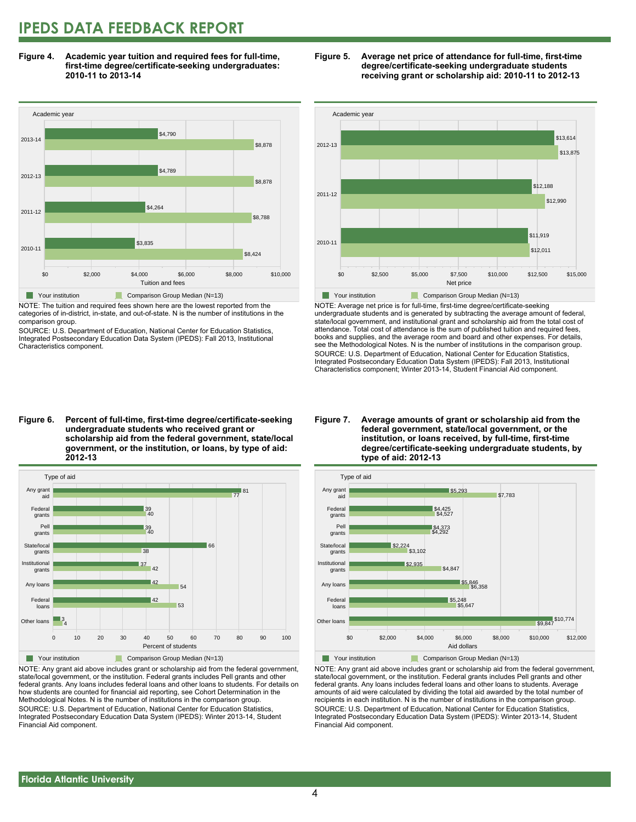# **IPEDS DATA FEEDBACK REPORT**

**Figure 4. Academic year tuition and required fees for full-time, first-time degree/certificate-seeking undergraduates: 2010-11 to 2013-14**



NOTE: The tuition and required fees shown here are the lowest reported from the categories of in-district, in-state, and out-of-state. N is the number of institutions in the comparison group.

SOURCE: U.S. Department of Education, National Center for Education Statistics, Integrated Postsecondary Education Data System (IPEDS): Fall 2013, Institutional Characteristics component.





NOTE: Average net price is for full-time, first-time degree/certificate-seeking undergraduate students and is generated by subtracting the average amount of federal, state/local government, and institutional grant and scholarship aid from the total cost of attendance. Total cost of attendance is the sum of published tuition and required fees, books and supplies, and the average room and board and other expenses. For details, see the Methodological Notes. N is the number of institutions in the comparison group. SOURCE: U.S. Department of Education, National Center for Education Statistics, Integrated Postsecondary Education Data System (IPEDS): Fall 2013, Institutional Characteristics component; Winter 2013-14, Student Financial Aid component.

**Figure 6. Percent of full-time, first-time degree/certificate-seeking undergraduate students who received grant or scholarship aid from the federal government, state/local government, or the institution, or loans, by type of aid: 2012-13**



NOTE: Any grant aid above includes grant or scholarship aid from the federal government, state/local government, or the institution. Federal grants includes Pell grants and other federal grants. Any loans includes federal loans and other loans to students. For details on how students are counted for financial aid reporting, see Cohort Determination in the Methodological Notes. N is the number of institutions in the comparison group. SOURCE: U.S. Department of Education, National Center for Education Statistics, Integrated Postsecondary Education Data System (IPEDS): Winter 2013-14, Student Financial Aid component.

#### **Figure 7. Average amounts of grant or scholarship aid from the federal government, state/local government, or the institution, or loans received, by full-time, first-time degree/certificate-seeking undergraduate students, by type of aid: 2012-13**



NOTE: Any grant aid above includes grant or scholarship aid from the federal government, state/local government, or the institution. Federal grants includes Pell grants and other federal grants. Any loans includes federal loans and other loans to students. Average amounts of aid were calculated by dividing the total aid awarded by the total number of recipients in each institution. N is the number of institutions in the comparison group. SOURCE: U.S. Department of Education, National Center for Education Statistics, Integrated Postsecondary Education Data System (IPEDS): Winter 2013-14, Student Financial Aid component.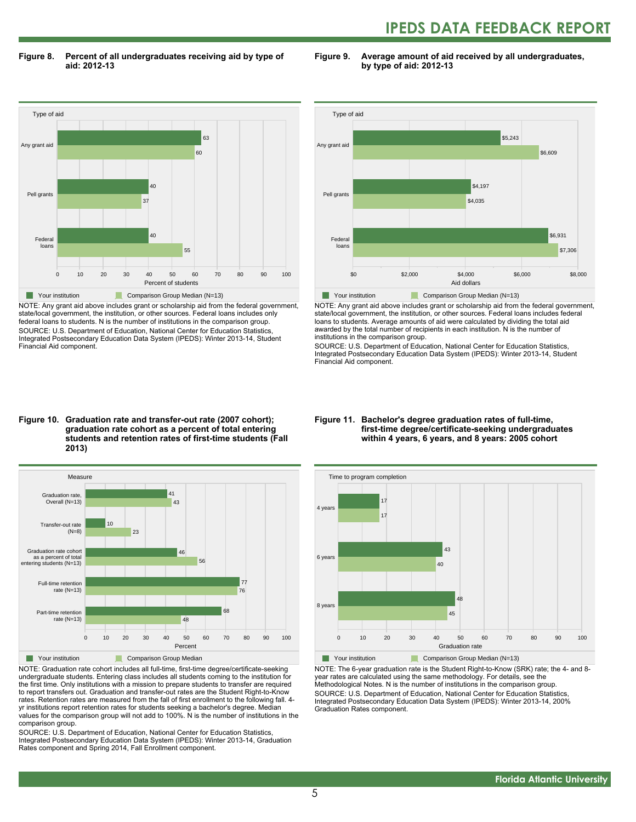# **IPEDS DATA FEEDBACK REPORT**

**Figure 8. Percent of all undergraduates receiving aid by type of aid: 2012-13**

**Figure 9. Average amount of aid received by all undergraduates, by type of aid: 2012-13**



NOTE: Any grant aid above includes grant or scholarship aid from the federal government, state/local government, the institution, or other sources. Federal loans includes only federal loans to students. N is the number of institutions in the comparison group. SOURCE: U.S. Department of Education, National Center for Education Statistics, Integrated Postsecondary Education Data System (IPEDS): Winter 2013-14, Student Financial Aid component.



NOTE: Any grant aid above includes grant or scholarship aid from the federal government, state/local government, the institution, or other sources. Federal loans includes federal loans to students. Average amounts of aid were calculated by dividing the total aid awarded by the total number of recipients in each institution. N is the number of institutions in the comparison group.

SOURCE: U.S. Department of Education, National Center for Education Statistics, Integrated Postsecondary Education Data System (IPEDS): Winter 2013-14, Student Financial Aid component.

#### **Figure 10. Graduation rate and transfer-out rate (2007 cohort); graduation rate cohort as a percent of total entering students and retention rates of first-time students (Fall 2013)**



NOTE: Graduation rate cohort includes all full-time, first-time degree/certificate-seeking undergraduate students. Entering class includes all students coming to the institution for the first time. Only institutions with a mission to prepare students to transfer are required to report transfers out. Graduation and transfer-out rates are the Student Right-to-Know rates. Retention rates are measured from the fall of first enrollment to the following fall. 4 yr institutions report retention rates for students seeking a bachelor's degree. Median values for the comparison group will not add to 100%. N is the number of institutions in the comparison group.

SOURCE: U.S. Department of Education, National Center for Education Statistics, Integrated Postsecondary Education Data System (IPEDS): Winter 2013-14, Graduation Rates component and Spring 2014, Fall Enrollment component.

#### **Figure 11. Bachelor's degree graduation rates of full-time, first-time degree/certificate-seeking undergraduates within 4 years, 6 years, and 8 years: 2005 cohort**



NOTE: The 6-year graduation rate is the Student Right-to-Know (SRK) rate; the 4- and 8 year rates are calculated using the same methodology. For details, see the Methodological Notes. N is the number of institutions in the comparison group. SOURCE: U.S. Department of Education, National Center for Education Statistics, Integrated Postsecondary Education Data System (IPEDS): Winter 2013-14, 200% Graduation Rates component.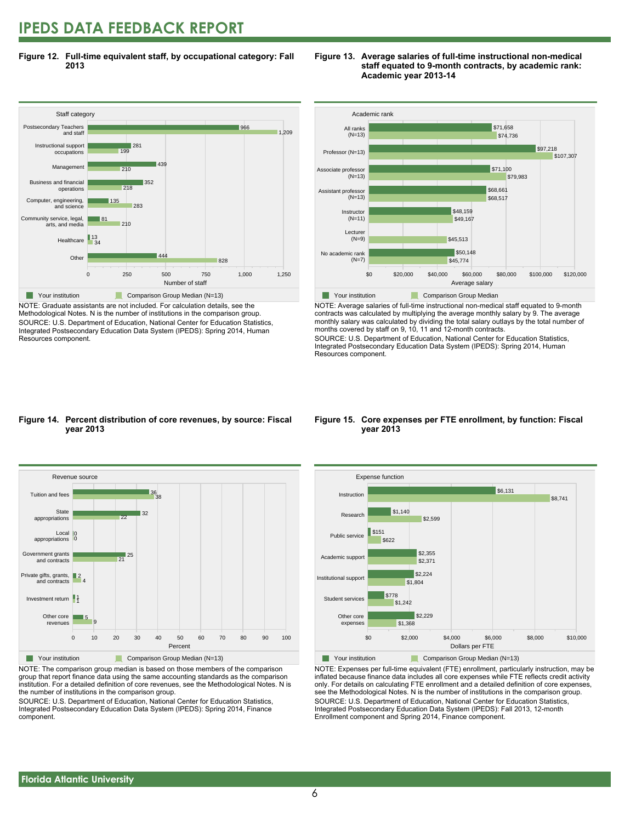# **IPEDS DATA FEEDBACK REPORT**

**Figure 12. Full-time equivalent staff, by occupational category: Fall 2013**



NOTE: Graduate assistants are not included. For calculation details, see the Methodological Notes. N is the number of institutions in the comparison group. SOURCE: U.S. Department of Education, National Center for Education Statistics, Integrated Postsecondary Education Data System (IPEDS): Spring 2014, Human Resources component.

#### **Figure 13. Average salaries of full-time instructional non-medical staff equated to 9-month contracts, by academic rank: Academic year 2013-14**



NOTE: Average salaries of full-time instructional non-medical staff equated to 9-month contracts was calculated by multiplying the average monthly salary by 9. The average monthly salary was calculated by dividing the total salary outlays by the total number of months covered by staff on 9, 10, 11 and 12-month contracts.

SOURCE: U.S. Department of Education, National Center for Education Statistics, Integrated Postsecondary Education Data System (IPEDS): Spring 2014, Human Resources component.

#### **Figure 14. Percent distribution of core revenues, by source: Fiscal year 2013**



NOTE: The comparison group median is based on those members of the comparison group that report finance data using the same accounting standards as the comparison institution. For a detailed definition of core revenues, see the Methodological Notes. N is the number of institutions in the comparison group.

SOURCE: U.S. Department of Education, National Center for Education Statistics, Integrated Postsecondary Education Data System (IPEDS): Spring 2014, Finance component.

#### **Figure 15. Core expenses per FTE enrollment, by function: Fiscal year 2013**



NOTE: Expenses per full-time equivalent (FTE) enrollment, particularly instruction, may be inflated because finance data includes all core expenses while FTE reflects credit activity only. For details on calculating FTE enrollment and a detailed definition of core expenses, see the Methodological Notes. N is the number of institutions in the comparison group. SOURCE: U.S. Department of Education, National Center for Education Statistics, Integrated Postsecondary Education Data System (IPEDS): Fall 2013, 12-month Enrollment component and Spring 2014, Finance component.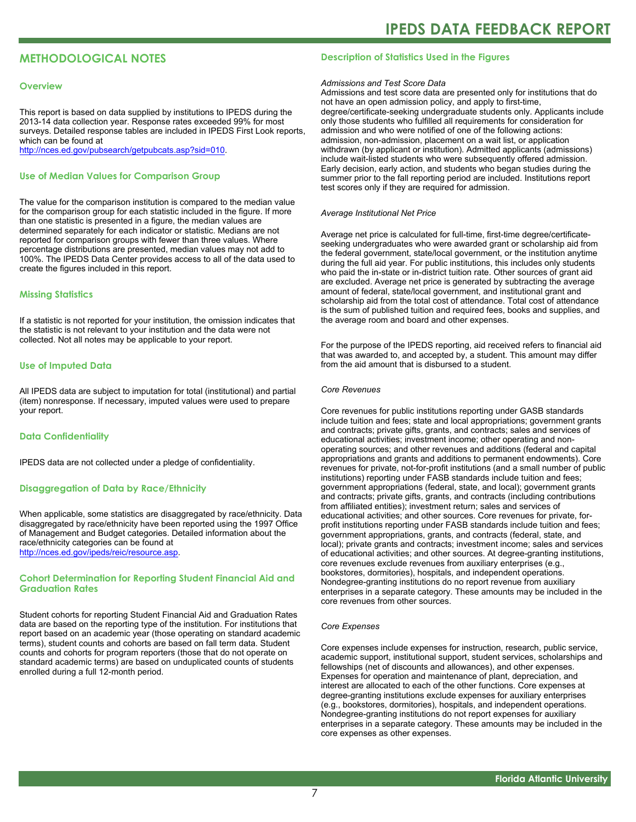# **METHODOLOGICAL NOTES**

#### **Overview**

This report is based on data supplied by institutions to IPEDS during the 2013-14 data collection year. Response rates exceeded 99% for most surveys. Detailed response tables are included in IPEDS First Look reports, which can be found at [http://nces.ed.gov/pubsearch/getpubcats.asp?sid=010.](http://nces.ed.gov/pubsearch/getpubcats.asp?sid=010)

#### **Use of Median Values for Comparison Group**

The value for the comparison institution is compared to the median value for the comparison group for each statistic included in the figure. If more than one statistic is presented in a figure, the median values are determined separately for each indicator or statistic. Medians are not reported for comparison groups with fewer than three values. Where percentage distributions are presented, median values may not add to 100%. The IPEDS Data Center provides access to all of the data used to create the figures included in this report.

#### **Missing Statistics**

If a statistic is not reported for your institution, the omission indicates that the statistic is not relevant to your institution and the data were not collected. Not all notes may be applicable to your report.

#### **Use of Imputed Data**

All IPEDS data are subject to imputation for total (institutional) and partial (item) nonresponse. If necessary, imputed values were used to prepare your report.

#### **Data Confidentiality**

IPEDS data are not collected under a pledge of confidentiality.

#### **Disaggregation of Data by Race/Ethnicity**

When applicable, some statistics are disaggregated by race/ethnicity. Data disaggregated by race/ethnicity have been reported using the 1997 Office of Management and Budget categories. Detailed information about the race/ethnicity categories can be found at <http://nces.ed.gov/ipeds/reic/resource.asp>.

#### **Cohort Determination for Reporting Student Financial Aid and Graduation Rates**

Student cohorts for reporting Student Financial Aid and Graduation Rates data are based on the reporting type of the institution. For institutions that report based on an academic year (those operating on standard academic terms), student counts and cohorts are based on fall term data. Student counts and cohorts for program reporters (those that do not operate on standard academic terms) are based on unduplicated counts of students enrolled during a full 12-month period.

#### **Description of Statistics Used in the Figures**

#### *Admissions and Test Score Data*

Admissions and test score data are presented only for institutions that do not have an open admission policy, and apply to first-time, degree/certificate-seeking undergraduate students only. Applicants include only those students who fulfilled all requirements for consideration for admission and who were notified of one of the following actions: admission, non-admission, placement on a wait list, or application withdrawn (by applicant or institution). Admitted applicants (admissions) include wait-listed students who were subsequently offered admission. Early decision, early action, and students who began studies during the summer prior to the fall reporting period are included. Institutions report test scores only if they are required for admission.

#### *Average Institutional Net Price*

Average net price is calculated for full-time, first-time degree/certificateseeking undergraduates who were awarded grant or scholarship aid from the federal government, state/local government, or the institution anytime during the full aid year. For public institutions, this includes only students who paid the in-state or in-district tuition rate. Other sources of grant aid are excluded. Average net price is generated by subtracting the average amount of federal, state/local government, and institutional grant and scholarship aid from the total cost of attendance. Total cost of attendance is the sum of published tuition and required fees, books and supplies, and the average room and board and other expenses.

For the purpose of the IPEDS reporting, aid received refers to financial aid that was awarded to, and accepted by, a student. This amount may differ from the aid amount that is disbursed to a student.

#### *Core Revenues*

Core revenues for public institutions reporting under GASB standards include tuition and fees; state and local appropriations; government grants and contracts; private gifts, grants, and contracts; sales and services of educational activities; investment income; other operating and nonoperating sources; and other revenues and additions (federal and capital appropriations and grants and additions to permanent endowments). Core revenues for private, not-for-profit institutions (and a small number of public institutions) reporting under FASB standards include tuition and fees; government appropriations (federal, state, and local); government grants and contracts; private gifts, grants, and contracts (including contributions from affiliated entities); investment return; sales and services of educational activities; and other sources. Core revenues for private, forprofit institutions reporting under FASB standards include tuition and fees; government appropriations, grants, and contracts (federal, state, and local); private grants and contracts; investment income; sales and services of educational activities; and other sources. At degree-granting institutions, core revenues exclude revenues from auxiliary enterprises (e.g., bookstores, dormitories), hospitals, and independent operations. Nondegree-granting institutions do no report revenue from auxiliary enterprises in a separate category. These amounts may be included in the core revenues from other sources.

#### *Core Expenses*

Core expenses include expenses for instruction, research, public service, academic support, institutional support, student services, scholarships and fellowships (net of discounts and allowances), and other expenses. Expenses for operation and maintenance of plant, depreciation, and interest are allocated to each of the other functions. Core expenses at degree-granting institutions exclude expenses for auxiliary enterprises (e.g., bookstores, dormitories), hospitals, and independent operations. Nondegree-granting institutions do not report expenses for auxiliary enterprises in a separate category. These amounts may be included in the core expenses as other expenses.